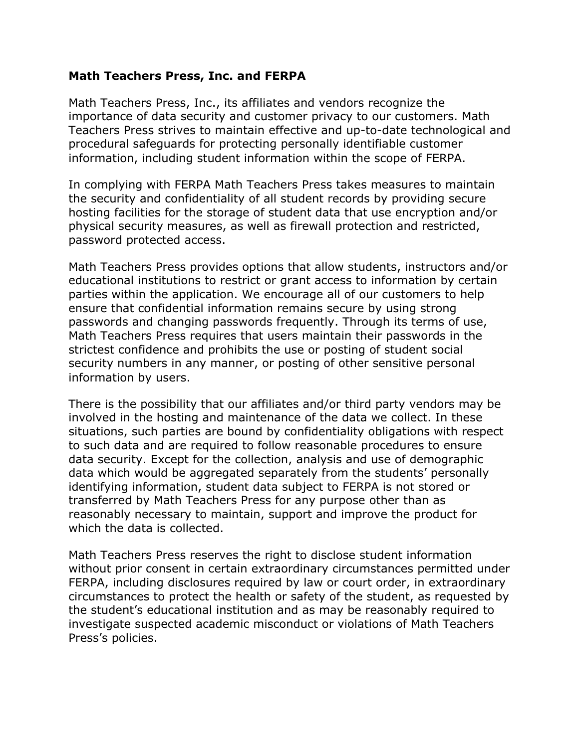## **Math Teachers Press, Inc. and FERPA**

Math Teachers Press, Inc., its affiliates and vendors recognize the importance of data security and customer privacy to our customers. Math Teachers Press strives to maintain effective and up-to-date technological and procedural safeguards for protecting personally identifiable customer information, including student information within the scope of FERPA.

In complying with FERPA Math Teachers Press takes measures to maintain the security and confidentiality of all student records by providing secure hosting facilities for the storage of student data that use encryption and/or physical security measures, as well as firewall protection and restricted, password protected access.

Math Teachers Press provides options that allow students, instructors and/or educational institutions to restrict or grant access to information by certain parties within the application. We encourage all of our customers to help ensure that confidential information remains secure by using strong passwords and changing passwords frequently. Through its terms of use, Math Teachers Press requires that users maintain their passwords in the strictest confidence and prohibits the use or posting of student social security numbers in any manner, or posting of other sensitive personal information by users.

There is the possibility that our affiliates and/or third party vendors may be involved in the hosting and maintenance of the data we collect. In these situations, such parties are bound by confidentiality obligations with respect to such data and are required to follow reasonable procedures to ensure data security. Except for the collection, analysis and use of demographic data which would be aggregated separately from the students' personally identifying information, student data subject to FERPA is not stored or transferred by Math Teachers Press for any purpose other than as reasonably necessary to maintain, support and improve the product for which the data is collected.

Math Teachers Press reserves the right to disclose student information without prior consent in certain extraordinary circumstances permitted under FERPA, including disclosures required by law or court order, in extraordinary circumstances to protect the health or safety of the student, as requested by the student's educational institution and as may be reasonably required to investigate suspected academic misconduct or violations of Math Teachers Press's policies.